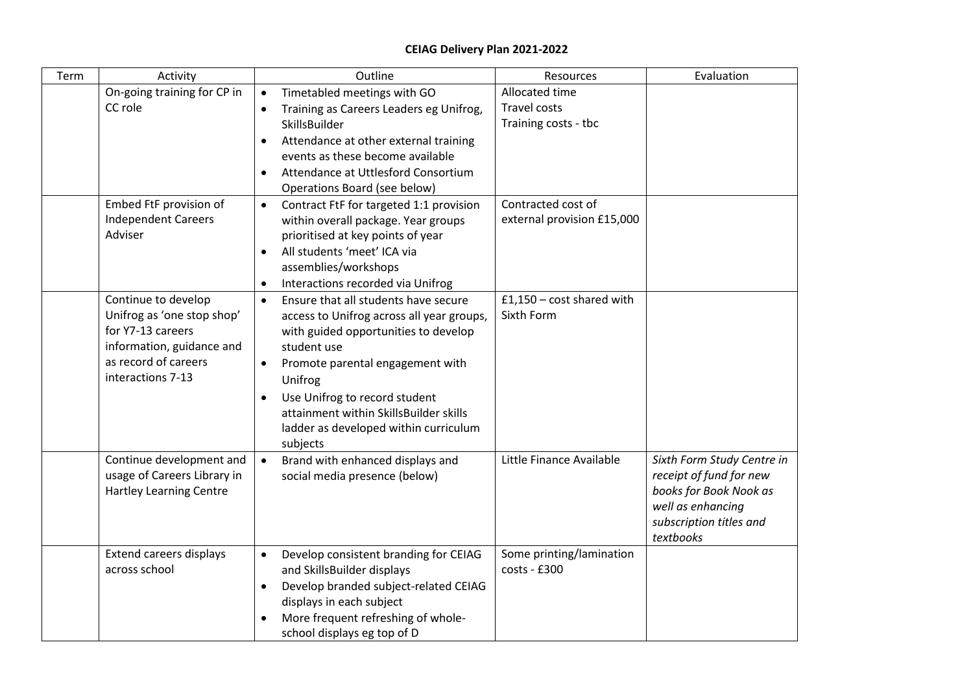## **CEIAG Delivery Plan 2021-2022**

| Term | Activity                                                                                                                                         | Outline                                                                                                                                                                                                                                                                                                                                                        | Resources                                                     | Evaluation                                                                                                                                   |
|------|--------------------------------------------------------------------------------------------------------------------------------------------------|----------------------------------------------------------------------------------------------------------------------------------------------------------------------------------------------------------------------------------------------------------------------------------------------------------------------------------------------------------------|---------------------------------------------------------------|----------------------------------------------------------------------------------------------------------------------------------------------|
|      | On-going training for CP in<br>CC role                                                                                                           | Timetabled meetings with GO<br>$\bullet$<br>Training as Careers Leaders eg Unifrog,<br>$\bullet$<br>SkillsBuilder<br>Attendance at other external training<br>$\bullet$<br>events as these become available<br>Attendance at Uttlesford Consortium<br>$\bullet$<br>Operations Board (see below)                                                                | Allocated time<br><b>Travel costs</b><br>Training costs - tbc |                                                                                                                                              |
|      | Embed FtF provision of<br><b>Independent Careers</b><br>Adviser                                                                                  | Contract FtF for targeted 1:1 provision<br>$\bullet$<br>within overall package. Year groups<br>prioritised at key points of year<br>All students 'meet' ICA via<br>$\bullet$<br>assemblies/workshops<br>Interactions recorded via Unifrog<br>$\bullet$                                                                                                         | Contracted cost of<br>external provision £15,000              |                                                                                                                                              |
|      | Continue to develop<br>Unifrog as 'one stop shop'<br>for Y7-13 careers<br>information, guidance and<br>as record of careers<br>interactions 7-13 | Ensure that all students have secure<br>$\bullet$<br>access to Unifrog across all year groups,<br>with guided opportunities to develop<br>student use<br>Promote parental engagement with<br>$\bullet$<br>Unifrog<br>Use Unifrog to record student<br>$\bullet$<br>attainment within SkillsBuilder skills<br>ladder as developed within curriculum<br>subjects | $£1,150 - cost shared with$<br>Sixth Form                     |                                                                                                                                              |
|      | Continue development and<br>usage of Careers Library in<br><b>Hartley Learning Centre</b>                                                        | Brand with enhanced displays and<br>$\bullet$<br>social media presence (below)                                                                                                                                                                                                                                                                                 | Little Finance Available                                      | Sixth Form Study Centre in<br>receipt of fund for new<br>books for Book Nook as<br>well as enhancing<br>subscription titles and<br>textbooks |
|      | Extend careers displays<br>across school                                                                                                         | Develop consistent branding for CEIAG<br>$\bullet$<br>and SkillsBuilder displays<br>Develop branded subject-related CEIAG<br>displays in each subject<br>More frequent refreshing of whole-<br>school displays eg top of D                                                                                                                                     | Some printing/lamination<br>costs - £300                      |                                                                                                                                              |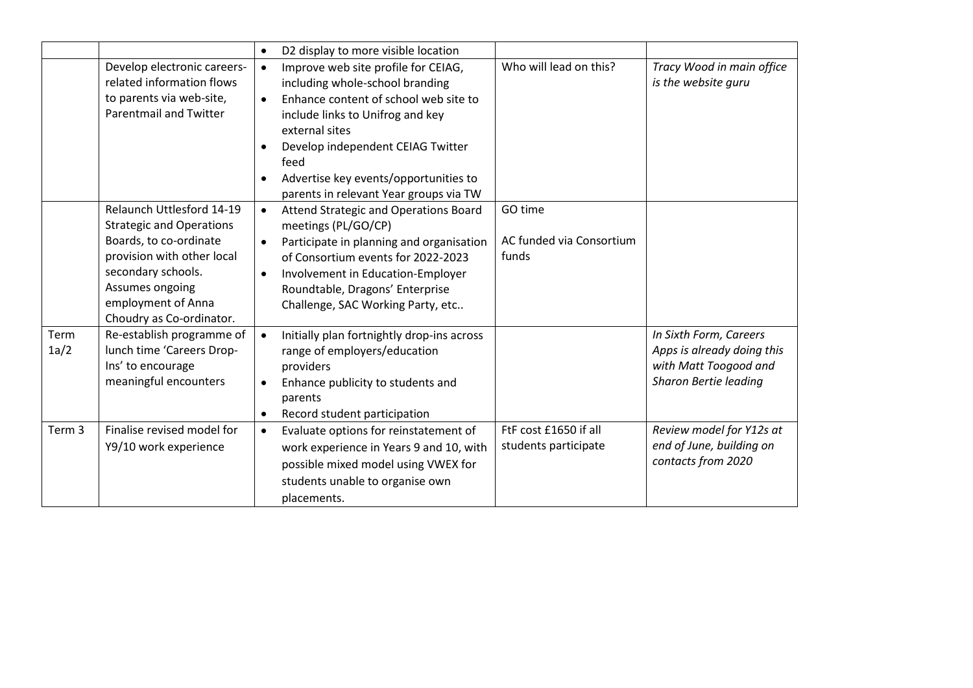|              |                                                                                                                                                                                                                 | D2 display to more visible location<br>$\bullet$                                                                                                                                                                                                                                                                                |                                               |                                                                                                        |
|--------------|-----------------------------------------------------------------------------------------------------------------------------------------------------------------------------------------------------------------|---------------------------------------------------------------------------------------------------------------------------------------------------------------------------------------------------------------------------------------------------------------------------------------------------------------------------------|-----------------------------------------------|--------------------------------------------------------------------------------------------------------|
|              | Develop electronic careers-<br>related information flows<br>to parents via web-site,<br><b>Parentmail and Twitter</b>                                                                                           | Improve web site profile for CEIAG,<br>$\bullet$<br>including whole-school branding<br>Enhance content of school web site to<br>$\bullet$<br>include links to Unifrog and key<br>external sites<br>Develop independent CEIAG Twitter<br>feed<br>Advertise key events/opportunities to<br>parents in relevant Year groups via TW | Who will lead on this?                        | Tracy Wood in main office<br>is the website guru                                                       |
|              | Relaunch Uttlesford 14-19<br><b>Strategic and Operations</b><br>Boards, to co-ordinate<br>provision with other local<br>secondary schools.<br>Assumes ongoing<br>employment of Anna<br>Choudry as Co-ordinator. | Attend Strategic and Operations Board<br>$\bullet$<br>meetings (PL/GO/CP)<br>Participate in planning and organisation<br>$\bullet$<br>of Consortium events for 2022-2023<br>Involvement in Education-Employer<br>$\bullet$<br>Roundtable, Dragons' Enterprise<br>Challenge, SAC Working Party, etc                              | GO time<br>AC funded via Consortium<br>funds  |                                                                                                        |
| Term<br>1a/2 | Re-establish programme of<br>lunch time 'Careers Drop-<br>Ins' to encourage<br>meaningful encounters                                                                                                            | Initially plan fortnightly drop-ins across<br>$\bullet$<br>range of employers/education<br>providers<br>Enhance publicity to students and<br>parents<br>Record student participation                                                                                                                                            |                                               | In Sixth Form, Careers<br>Apps is already doing this<br>with Matt Toogood and<br>Sharon Bertie leading |
| Term 3       | Finalise revised model for<br>Y9/10 work experience                                                                                                                                                             | Evaluate options for reinstatement of<br>$\bullet$<br>work experience in Years 9 and 10, with<br>possible mixed model using VWEX for<br>students unable to organise own<br>placements.                                                                                                                                          | FtF cost £1650 if all<br>students participate | Review model for Y12s at<br>end of June, building on<br>contacts from 2020                             |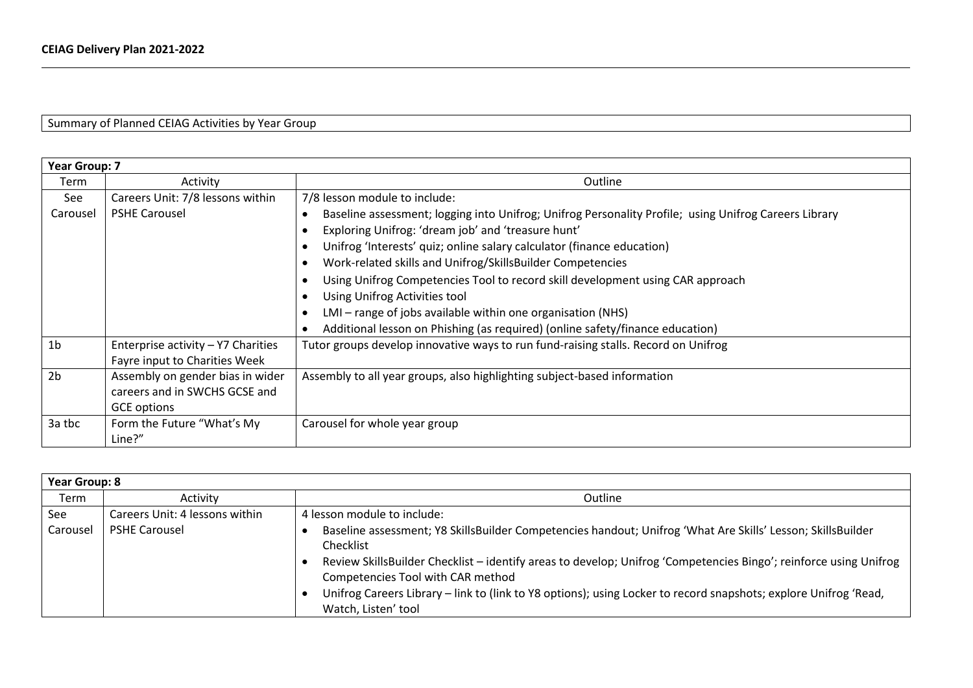Summary of Planned CEIAG Activities by Year Group

|                | Year Group: 7                      |                                                                                                       |  |  |
|----------------|------------------------------------|-------------------------------------------------------------------------------------------------------|--|--|
| Term           | Activity                           | Outline                                                                                               |  |  |
| See            | Careers Unit: 7/8 lessons within   | 7/8 lesson module to include:                                                                         |  |  |
| Carousel       | <b>PSHE Carousel</b>               | Baseline assessment; logging into Unifrog; Unifrog Personality Profile; using Unifrog Careers Library |  |  |
|                |                                    | Exploring Unifrog: 'dream job' and 'treasure hunt'                                                    |  |  |
|                |                                    | Unifrog 'Interests' quiz; online salary calculator (finance education)                                |  |  |
|                |                                    | Work-related skills and Unifrog/SkillsBuilder Competencies                                            |  |  |
|                |                                    | Using Unifrog Competencies Tool to record skill development using CAR approach                        |  |  |
|                |                                    | Using Unifrog Activities tool                                                                         |  |  |
|                |                                    | LMI - range of jobs available within one organisation (NHS)                                           |  |  |
|                |                                    | Additional lesson on Phishing (as required) (online safety/finance education)                         |  |  |
| 1 <sub>b</sub> | Enterprise activity - Y7 Charities | Tutor groups develop innovative ways to run fund-raising stalls. Record on Unifrog                    |  |  |
|                | Fayre input to Charities Week      |                                                                                                       |  |  |
| 2 <sub>b</sub> | Assembly on gender bias in wider   | Assembly to all year groups, also highlighting subject-based information                              |  |  |
|                | careers and in SWCHS GCSE and      |                                                                                                       |  |  |
|                | <b>GCE options</b>                 |                                                                                                       |  |  |
| 3a tbc         | Form the Future "What's My         | Carousel for whole year group                                                                         |  |  |
|                | Line?"                             |                                                                                                       |  |  |

| <b>Year Group: 8</b> |                                |                                                                                                                                                                                                                                                                                                                                                                                                                               |  |
|----------------------|--------------------------------|-------------------------------------------------------------------------------------------------------------------------------------------------------------------------------------------------------------------------------------------------------------------------------------------------------------------------------------------------------------------------------------------------------------------------------|--|
| Term                 | Activity                       | Outline                                                                                                                                                                                                                                                                                                                                                                                                                       |  |
| See                  | Careers Unit: 4 lessons within | 4 lesson module to include:                                                                                                                                                                                                                                                                                                                                                                                                   |  |
| Carousel             | <b>PSHE Carousel</b>           | Baseline assessment; Y8 SkillsBuilder Competencies handout; Unifrog 'What Are Skills' Lesson; SkillsBuilder<br>Checklist<br>Review SkillsBuilder Checklist - identify areas to develop; Unifrog 'Competencies Bingo'; reinforce using Unifrog<br>Competencies Tool with CAR method<br>Unifrog Careers Library - link to (link to Y8 options); using Locker to record snapshots; explore Unifrog 'Read,<br>Watch, Listen' tool |  |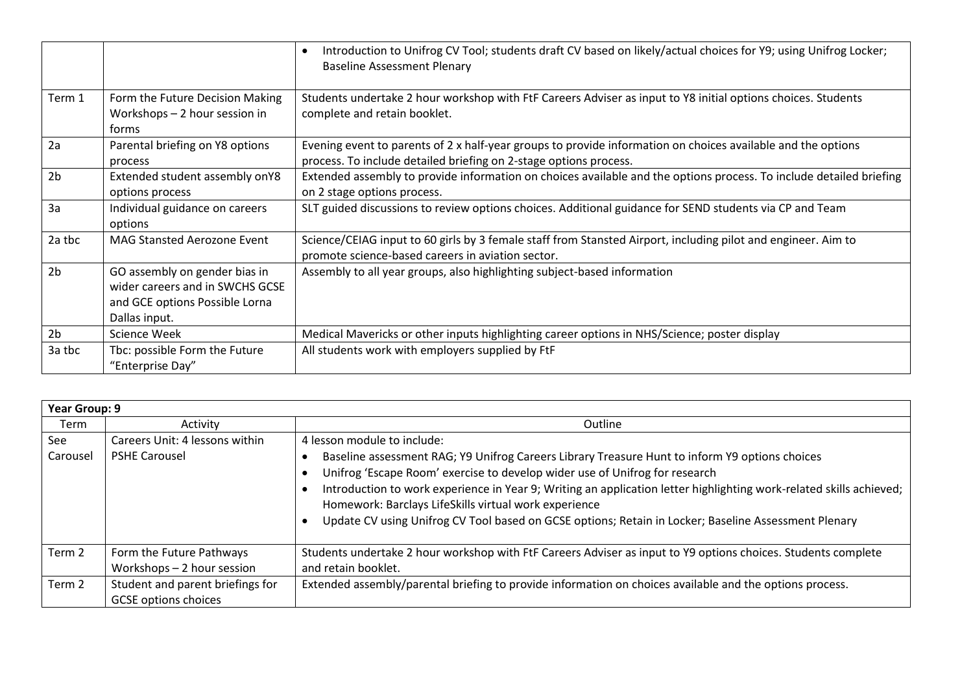|                |                                                                                                                     | Introduction to Unifrog CV Tool; students draft CV based on likely/actual choices for Y9; using Unifrog Locker;<br>٠<br><b>Baseline Assessment Plenary</b>                        |
|----------------|---------------------------------------------------------------------------------------------------------------------|-----------------------------------------------------------------------------------------------------------------------------------------------------------------------------------|
| Term 1         | Form the Future Decision Making<br>Workshops - 2 hour session in<br>forms                                           | Students undertake 2 hour workshop with FtF Careers Adviser as input to Y8 initial options choices. Students<br>complete and retain booklet.                                      |
| 2a             | Parental briefing on Y8 options<br>process                                                                          | Evening event to parents of 2 x half-year groups to provide information on choices available and the options<br>process. To include detailed briefing on 2-stage options process. |
| 2 <sub>b</sub> | Extended student assembly onY8<br>options process                                                                   | Extended assembly to provide information on choices available and the options process. To include detailed briefing<br>on 2 stage options process.                                |
| 3a             | Individual guidance on careers<br>options                                                                           | SLT guided discussions to review options choices. Additional guidance for SEND students via CP and Team                                                                           |
| 2a tbc         | <b>MAG Stansted Aerozone Event</b>                                                                                  | Science/CEIAG input to 60 girls by 3 female staff from Stansted Airport, including pilot and engineer. Aim to<br>promote science-based careers in aviation sector.                |
| 2 <sub>b</sub> | GO assembly on gender bias in<br>wider careers and in SWCHS GCSE<br>and GCE options Possible Lorna<br>Dallas input. | Assembly to all year groups, also highlighting subject-based information                                                                                                          |
| 2 <sub>b</sub> | <b>Science Week</b>                                                                                                 | Medical Mavericks or other inputs highlighting career options in NHS/Science; poster display                                                                                      |
| 3a tbc         | Tbc: possible Form the Future<br>"Enterprise Day"                                                                   | All students work with employers supplied by FtF                                                                                                                                  |

| Year Group: 9 |                                  |                                                                                                                     |
|---------------|----------------------------------|---------------------------------------------------------------------------------------------------------------------|
| Term          | Activity                         | <b>Outline</b>                                                                                                      |
| See           | Careers Unit: 4 lessons within   | 4 lesson module to include:                                                                                         |
| Carousel      | <b>PSHE Carousel</b>             | Baseline assessment RAG; Y9 Unifrog Careers Library Treasure Hunt to inform Y9 options choices                      |
|               |                                  | Unifrog 'Escape Room' exercise to develop wider use of Unifrog for research                                         |
|               |                                  | Introduction to work experience in Year 9; Writing an application letter highlighting work-related skills achieved; |
|               |                                  | Homework: Barclays LifeSkills virtual work experience                                                               |
|               |                                  | Update CV using Unifrog CV Tool based on GCSE options; Retain in Locker; Baseline Assessment Plenary                |
|               |                                  |                                                                                                                     |
| Term 2        | Form the Future Pathways         | Students undertake 2 hour workshop with FtF Careers Adviser as input to Y9 options choices. Students complete       |
|               | Workshops - 2 hour session       | and retain booklet.                                                                                                 |
| Term 2        | Student and parent briefings for | Extended assembly/parental briefing to provide information on choices available and the options process.            |
|               | <b>GCSE</b> options choices      |                                                                                                                     |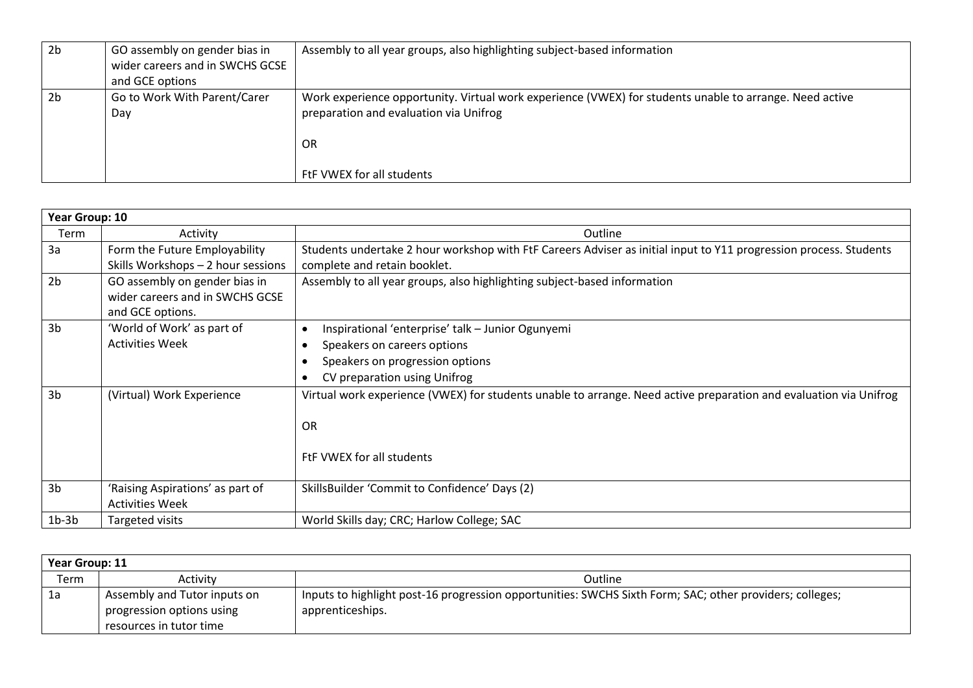| 2 <sub>b</sub> | GO assembly on gender bias in   | Assembly to all year groups, also highlighting subject-based information                                |
|----------------|---------------------------------|---------------------------------------------------------------------------------------------------------|
|                | wider careers and in SWCHS GCSE |                                                                                                         |
|                | and GCE options                 |                                                                                                         |
| 2 <sub>b</sub> | Go to Work With Parent/Carer    | Work experience opportunity. Virtual work experience (VWEX) for students unable to arrange. Need active |
|                | Day                             | preparation and evaluation via Unifrog                                                                  |
|                |                                 |                                                                                                         |
|                |                                 | OR                                                                                                      |
|                |                                 |                                                                                                         |
|                |                                 | FtF VWEX for all students                                                                               |

| Year Group: 10 |                                    |                                                                                                                   |
|----------------|------------------------------------|-------------------------------------------------------------------------------------------------------------------|
| Term           | Activity                           | Outline                                                                                                           |
| 3a             | Form the Future Employability      | Students undertake 2 hour workshop with FtF Careers Adviser as initial input to Y11 progression process. Students |
|                | Skills Workshops - 2 hour sessions | complete and retain booklet.                                                                                      |
| 2 <sub>b</sub> | GO assembly on gender bias in      | Assembly to all year groups, also highlighting subject-based information                                          |
|                | wider careers and in SWCHS GCSE    |                                                                                                                   |
|                | and GCE options.                   |                                                                                                                   |
| 3 <sub>b</sub> | 'World of Work' as part of         | Inspirational 'enterprise' talk - Junior Ogunyemi<br>$\bullet$                                                    |
|                | <b>Activities Week</b>             | Speakers on careers options                                                                                       |
|                |                                    | Speakers on progression options                                                                                   |
|                |                                    | CV preparation using Unifrog                                                                                      |
| 3 <sub>b</sub> | (Virtual) Work Experience          | Virtual work experience (VWEX) for students unable to arrange. Need active preparation and evaluation via Unifrog |
|                |                                    |                                                                                                                   |
|                |                                    | OR                                                                                                                |
|                |                                    |                                                                                                                   |
|                |                                    | FtF VWEX for all students                                                                                         |
|                |                                    |                                                                                                                   |
| 3 <sub>b</sub> | 'Raising Aspirations' as part of   | SkillsBuilder 'Commit to Confidence' Days (2)                                                                     |
|                | <b>Activities Week</b>             |                                                                                                                   |
| $1b-3b$        | Targeted visits                    | World Skills day; CRC; Harlow College; SAC                                                                        |

| Year Group: 11 |                              |                                                                                                          |
|----------------|------------------------------|----------------------------------------------------------------------------------------------------------|
| Term           | Activity                     | Outline                                                                                                  |
| 1a             | Assembly and Tutor inputs on | Inputs to highlight post-16 progression opportunities: SWCHS Sixth Form; SAC; other providers; colleges; |
|                | progression options using    | apprenticeships.                                                                                         |
|                | resources in tutor time      |                                                                                                          |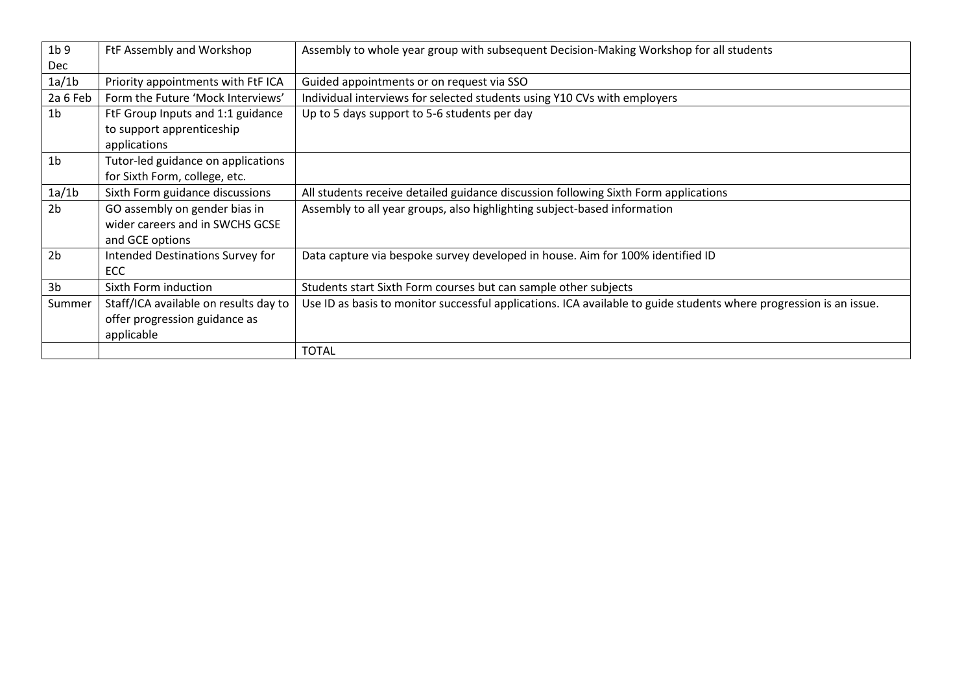| 1 <sub>b</sub> 9<br><b>Dec</b> | FtF Assembly and Workshop             | Assembly to whole year group with subsequent Decision-Making Workshop for all students                             |
|--------------------------------|---------------------------------------|--------------------------------------------------------------------------------------------------------------------|
| 1a/1b                          | Priority appointments with FtF ICA    | Guided appointments or on request via SSO                                                                          |
| 2a 6 Feb                       | Form the Future 'Mock Interviews'     | Individual interviews for selected students using Y10 CVs with employers                                           |
| 1 <sub>b</sub>                 | FtF Group Inputs and 1:1 guidance     | Up to 5 days support to 5-6 students per day                                                                       |
|                                | to support apprenticeship             |                                                                                                                    |
|                                | applications                          |                                                                                                                    |
| 1 <sub>b</sub>                 | Tutor-led guidance on applications    |                                                                                                                    |
|                                | for Sixth Form, college, etc.         |                                                                                                                    |
| 1a/1b                          | Sixth Form guidance discussions       | All students receive detailed guidance discussion following Sixth Form applications                                |
| 2 <sub>b</sub>                 | GO assembly on gender bias in         | Assembly to all year groups, also highlighting subject-based information                                           |
|                                | wider careers and in SWCHS GCSE       |                                                                                                                    |
|                                | and GCE options                       |                                                                                                                    |
| 2 <sub>b</sub>                 | Intended Destinations Survey for      | Data capture via bespoke survey developed in house. Aim for 100% identified ID                                     |
|                                | ECC                                   |                                                                                                                    |
| 3 <sub>b</sub>                 | Sixth Form induction                  | Students start Sixth Form courses but can sample other subjects                                                    |
| Summer                         | Staff/ICA available on results day to | Use ID as basis to monitor successful applications. ICA available to guide students where progression is an issue. |
|                                | offer progression guidance as         |                                                                                                                    |
|                                | applicable                            |                                                                                                                    |
|                                |                                       | <b>TOTAL</b>                                                                                                       |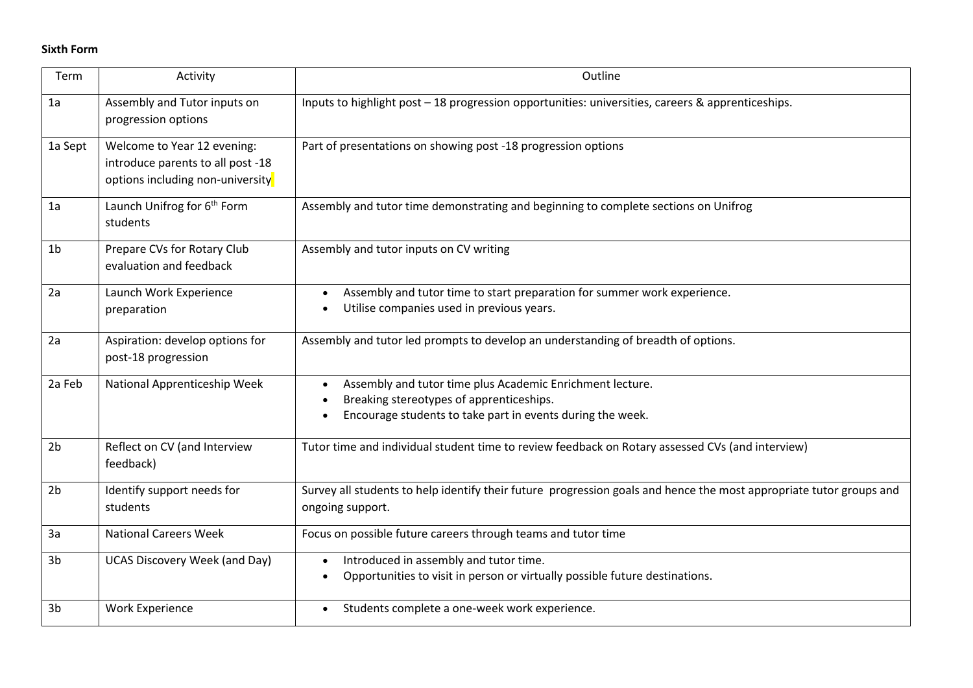## **Sixth Form**

| Term           | Activity                                                                                             | Outline                                                                                                                                                             |
|----------------|------------------------------------------------------------------------------------------------------|---------------------------------------------------------------------------------------------------------------------------------------------------------------------|
| 1a             | Assembly and Tutor inputs on<br>progression options                                                  | Inputs to highlight post - 18 progression opportunities: universities, careers & apprenticeships.                                                                   |
| 1a Sept        | Welcome to Year 12 evening:<br>introduce parents to all post -18<br>options including non-university | Part of presentations on showing post -18 progression options                                                                                                       |
| 1a             | Launch Unifrog for 6 <sup>th</sup> Form<br>students                                                  | Assembly and tutor time demonstrating and beginning to complete sections on Unifrog                                                                                 |
| 1 <sub>b</sub> | Prepare CVs for Rotary Club<br>evaluation and feedback                                               | Assembly and tutor inputs on CV writing                                                                                                                             |
| 2a             | Launch Work Experience<br>preparation                                                                | Assembly and tutor time to start preparation for summer work experience.<br>Utilise companies used in previous years.                                               |
| 2a             | Aspiration: develop options for<br>post-18 progression                                               | Assembly and tutor led prompts to develop an understanding of breadth of options.                                                                                   |
| 2a Feb         | National Apprenticeship Week                                                                         | Assembly and tutor time plus Academic Enrichment lecture.<br>Breaking stereotypes of apprenticeships.<br>Encourage students to take part in events during the week. |
| 2 <sub>b</sub> | Reflect on CV (and Interview<br>feedback)                                                            | Tutor time and individual student time to review feedback on Rotary assessed CVs (and interview)                                                                    |
| 2 <sub>b</sub> | Identify support needs for<br>students                                                               | Survey all students to help identify their future progression goals and hence the most appropriate tutor groups and<br>ongoing support.                             |
| 3a             | <b>National Careers Week</b>                                                                         | Focus on possible future careers through teams and tutor time                                                                                                       |
| 3 <sub>b</sub> | <b>UCAS Discovery Week (and Day)</b>                                                                 | Introduced in assembly and tutor time.<br>Opportunities to visit in person or virtually possible future destinations.                                               |
| 3 <sub>b</sub> | <b>Work Experience</b>                                                                               | Students complete a one-week work experience.                                                                                                                       |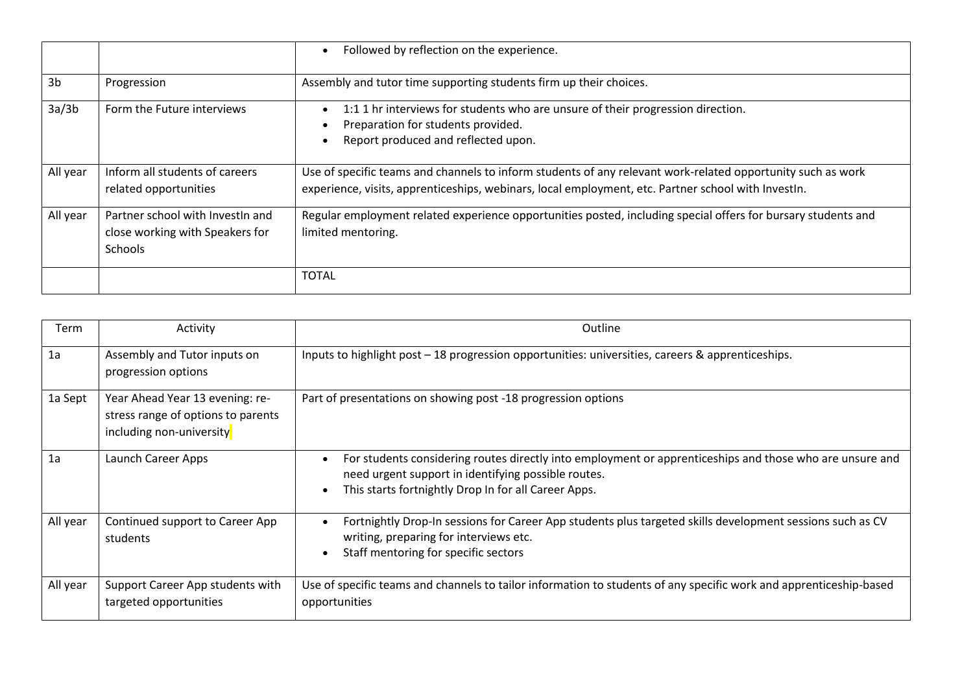|                |                                                                                | Followed by reflection on the experience.<br>$\bullet$                                                                                                                                                             |
|----------------|--------------------------------------------------------------------------------|--------------------------------------------------------------------------------------------------------------------------------------------------------------------------------------------------------------------|
| 3 <sub>b</sub> | Progression                                                                    | Assembly and tutor time supporting students firm up their choices.                                                                                                                                                 |
| 3a/3b          | Form the Future interviews                                                     | 1:1 1 hr interviews for students who are unsure of their progression direction.<br>$\bullet$<br>Preparation for students provided.<br>Report produced and reflected upon.                                          |
| All year       | Inform all students of careers<br>related opportunities                        | Use of specific teams and channels to inform students of any relevant work-related opportunity such as work<br>experience, visits, apprenticeships, webinars, local employment, etc. Partner school with InvestIn. |
| All year       | Partner school with InvestIn and<br>close working with Speakers for<br>Schools | Regular employment related experience opportunities posted, including special offers for bursary students and<br>limited mentoring.                                                                                |
|                |                                                                                | TOTAL                                                                                                                                                                                                              |

| Term     | Activity                                                                                          | Outline                                                                                                                                                                                                                 |
|----------|---------------------------------------------------------------------------------------------------|-------------------------------------------------------------------------------------------------------------------------------------------------------------------------------------------------------------------------|
| 1a       | Assembly and Tutor inputs on<br>progression options                                               | Inputs to highlight post - 18 progression opportunities: universities, careers & apprenticeships.                                                                                                                       |
| 1a Sept  | Year Ahead Year 13 evening: re-<br>stress range of options to parents<br>including non-university | Part of presentations on showing post -18 progression options                                                                                                                                                           |
| 1a       | Launch Career Apps                                                                                | For students considering routes directly into employment or apprenticeships and those who are unsure and<br>need urgent support in identifying possible routes.<br>This starts fortnightly Drop In for all Career Apps. |
| All year | Continued support to Career App<br>students                                                       | Fortnightly Drop-In sessions for Career App students plus targeted skills development sessions such as CV<br>writing, preparing for interviews etc.<br>Staff mentoring for specific sectors<br>$\bullet$                |
| All year | Support Career App students with<br>targeted opportunities                                        | Use of specific teams and channels to tailor information to students of any specific work and apprenticeship-based<br>opportunities                                                                                     |